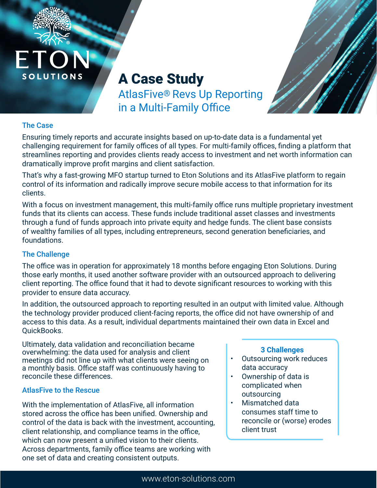



# A Case Study

AtlasFive® Revs Up Reporting in a Multi-Family Office

## The Case

Ensuring timely reports and accurate insights based on up-to-date data is a fundamental yet challenging requirement for family offices of all types. For multi-family offices, finding a platform that streamlines reporting and provides clients ready access to investment and net worth information can dramatically improve profit margins and client satisfaction.

That's why a fast-growing MFO startup turned to Eton Solutions and its AtlasFive platform to regain control of its information and radically improve secure mobile access to that information for its clients.

With a focus on investment management, this multi-family office runs multiple proprietary investment funds that its clients can access. These funds include traditional asset classes and investments through a fund of funds approach into private equity and hedge funds. The client base consists of wealthy families of all types, including entrepreneurs, second generation beneficiaries, and foundations.

#### The Challenge

The office was in operation for approximately 18 months before engaging Eton Solutions. During those early months, it used another software provider with an outsourced approach to delivering client reporting. The office found that it had to devote significant resources to working with this provider to ensure data accuracy.

In addition, the outsourced approach to reporting resulted in an output with limited value. Although the technology provider produced client-facing reports, the office did not have ownership of and access to this data. As a result, individual departments maintained their own data in Excel and QuickBooks.

Ultimately, data validation and reconciliation became overwhelming: the data used for analysis and client meetings did not line up with what clients were seeing on a monthly basis. Office staff was continuously having to reconcile these differences.

### AtlasFive to the Rescue

With the implementation of AtlasFive, all information stored across the office has been unified. Ownership and control of the data is back with the investment, accounting, client relationship, and compliance teams in the office, which can now present a unified vision to their clients. Across departments, family office teams are working with one set of data and creating consistent outputs.

#### **3 Challenges**

- Outsourcing work reduces data accuracy
- Ownership of data is complicated when outsourcing
- Mismatched data consumes staff time to reconcile or (worse) erodes client trust